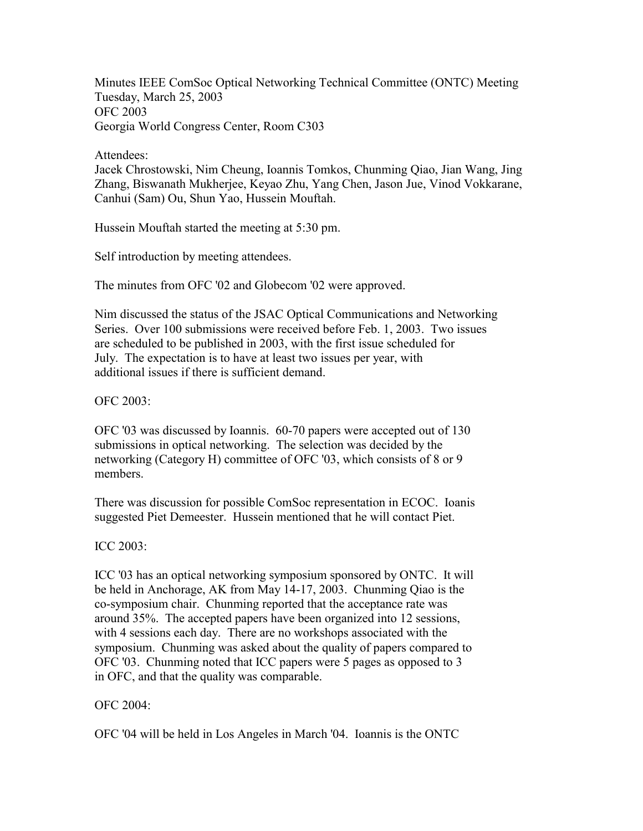Minutes IEEE ComSoc Optical Networking Technical Committee (ONTC) Meeting Tuesday, March 25, 2003 OFC 2003 Georgia World Congress Center, Room C303

Attendees:

Jacek Chrostowski, Nim Cheung, Ioannis Tomkos, Chunming Qiao, Jian Wang, Jing Zhang, Biswanath Mukherjee, Keyao Zhu, Yang Chen, Jason Jue, Vinod Vokkarane, Canhui (Sam) Ou, Shun Yao, Hussein Mouftah.

Hussein Mouftah started the meeting at 5:30 pm.

Self introduction by meeting attendees.

The minutes from OFC '02 and Globecom '02 were approved.

Nim discussed the status of the JSAC Optical Communications and Networking Series. Over 100 submissions were received before Feb. 1, 2003. Two issues are scheduled to be published in 2003, with the first issue scheduled for July. The expectation is to have at least two issues per year, with additional issues if there is sufficient demand.

OFC 2003:

OFC '03 was discussed by Ioannis. 60-70 papers were accepted out of 130 submissions in optical networking. The selection was decided by the networking (Category H) committee of OFC '03, which consists of 8 or 9 members.

There was discussion for possible ComSoc representation in ECOC. Ioanis suggested Piet Demeester. Hussein mentioned that he will contact Piet.

ICC 2003:

ICC '03 has an optical networking symposium sponsored by ONTC. It will be held in Anchorage, AK from May 14-17, 2003. Chunming Qiao is the co-symposium chair. Chunming reported that the acceptance rate was around 35%. The accepted papers have been organized into 12 sessions, with 4 sessions each day. There are no workshops associated with the symposium. Chunming was asked about the quality of papers compared to OFC '03. Chunming noted that ICC papers were 5 pages as opposed to 3 in OFC, and that the quality was comparable.

## OFC 2004:

OFC '04 will be held in Los Angeles in March '04. Ioannis is the ONTC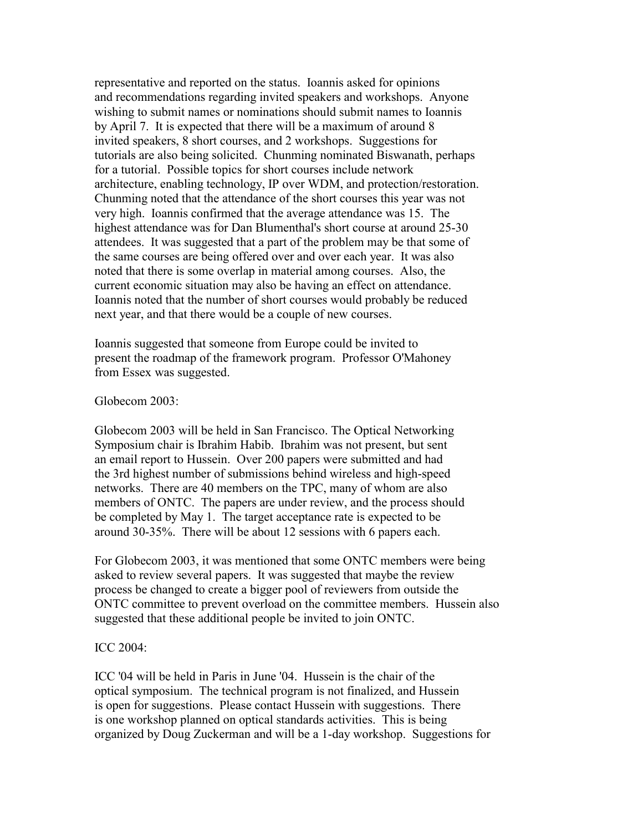representative and reported on the status. Ioannis asked for opinions and recommendations regarding invited speakers and workshops. Anyone wishing to submit names or nominations should submit names to Ioannis by April 7. It is expected that there will be a maximum of around 8 invited speakers, 8 short courses, and 2 workshops. Suggestions for tutorials are also being solicited. Chunming nominated Biswanath, perhaps for a tutorial. Possible topics for short courses include network architecture, enabling technology, IP over WDM, and protection/restoration. Chunming noted that the attendance of the short courses this year was not very high. Ioannis confirmed that the average attendance was 15. The highest attendance was for Dan Blumenthal's short course at around 25-30 attendees. It was suggested that a part of the problem may be that some of the same courses are being offered over and over each year. It was also noted that there is some overlap in material among courses. Also, the current economic situation may also be having an effect on attendance. Ioannis noted that the number of short courses would probably be reduced next year, and that there would be a couple of new courses.

Ioannis suggested that someone from Europe could be invited to present the roadmap of the framework program. Professor O'Mahoney from Essex was suggested.

## Globecom 2003:

Globecom 2003 will be held in San Francisco. The Optical Networking Symposium chair is Ibrahim Habib. Ibrahim was not present, but sent an email report to Hussein. Over 200 papers were submitted and had the 3rd highest number of submissions behind wireless and high-speed networks. There are 40 members on the TPC, many of whom are also members of ONTC. The papers are under review, and the process should be completed by May 1. The target acceptance rate is expected to be around 30-35%. There will be about 12 sessions with 6 papers each.

For Globecom 2003, it was mentioned that some ONTC members were being asked to review several papers. It was suggested that maybe the review process be changed to create a bigger pool of reviewers from outside the ONTC committee to prevent overload on the committee members. Hussein also suggested that these additional people be invited to join ONTC.

## ICC 2004:

ICC '04 will be held in Paris in June '04. Hussein is the chair of the optical symposium. The technical program is not finalized, and Hussein is open for suggestions. Please contact Hussein with suggestions. There is one workshop planned on optical standards activities. This is being organized by Doug Zuckerman and will be a 1-day workshop. Suggestions for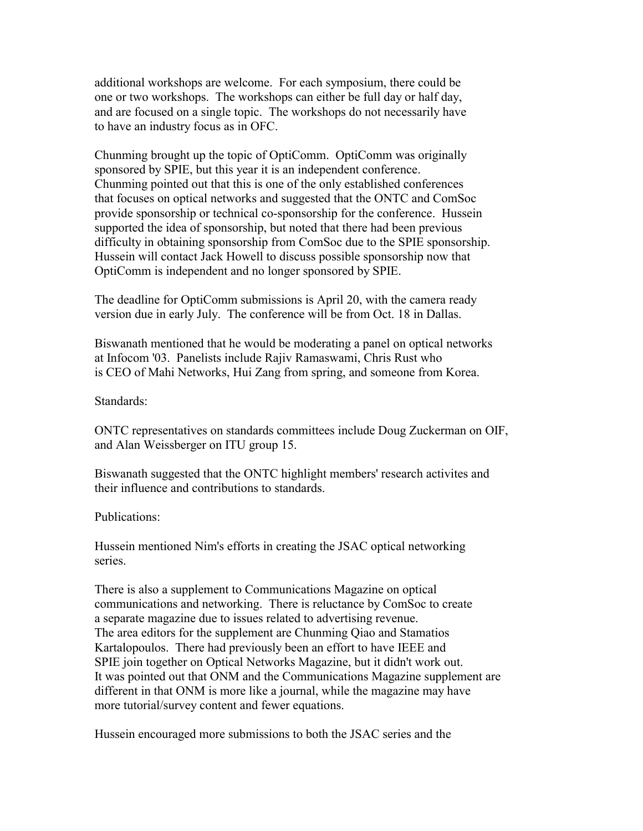additional workshops are welcome. For each symposium, there could be one or two workshops. The workshops can either be full day or half day, and are focused on a single topic. The workshops do not necessarily have to have an industry focus as in OFC.

Chunming brought up the topic of OptiComm. OptiComm was originally sponsored by SPIE, but this year it is an independent conference. Chunming pointed out that this is one of the only established conferences that focuses on optical networks and suggested that the ONTC and ComSoc provide sponsorship or technical co-sponsorship for the conference. Hussein supported the idea of sponsorship, but noted that there had been previous difficulty in obtaining sponsorship from ComSoc due to the SPIE sponsorship. Hussein will contact Jack Howell to discuss possible sponsorship now that OptiComm is independent and no longer sponsored by SPIE.

The deadline for OptiComm submissions is April 20, with the camera ready version due in early July. The conference will be from Oct. 18 in Dallas.

Biswanath mentioned that he would be moderating a panel on optical networks at Infocom '03. Panelists include Rajiv Ramaswami, Chris Rust who is CEO of Mahi Networks, Hui Zang from spring, and someone from Korea.

Standards:

ONTC representatives on standards committees include Doug Zuckerman on OIF, and Alan Weissberger on ITU group 15.

Biswanath suggested that the ONTC highlight members' research activites and their influence and contributions to standards.

Publications:

Hussein mentioned Nim's efforts in creating the JSAC optical networking series.

There is also a supplement to Communications Magazine on optical communications and networking. There is reluctance by ComSoc to create a separate magazine due to issues related to advertising revenue. The area editors for the supplement are Chunming Qiao and Stamatios Kartalopoulos. There had previously been an effort to have IEEE and SPIE join together on Optical Networks Magazine, but it didn't work out. It was pointed out that ONM and the Communications Magazine supplement are different in that ONM is more like a journal, while the magazine may have more tutorial/survey content and fewer equations.

Hussein encouraged more submissions to both the JSAC series and the